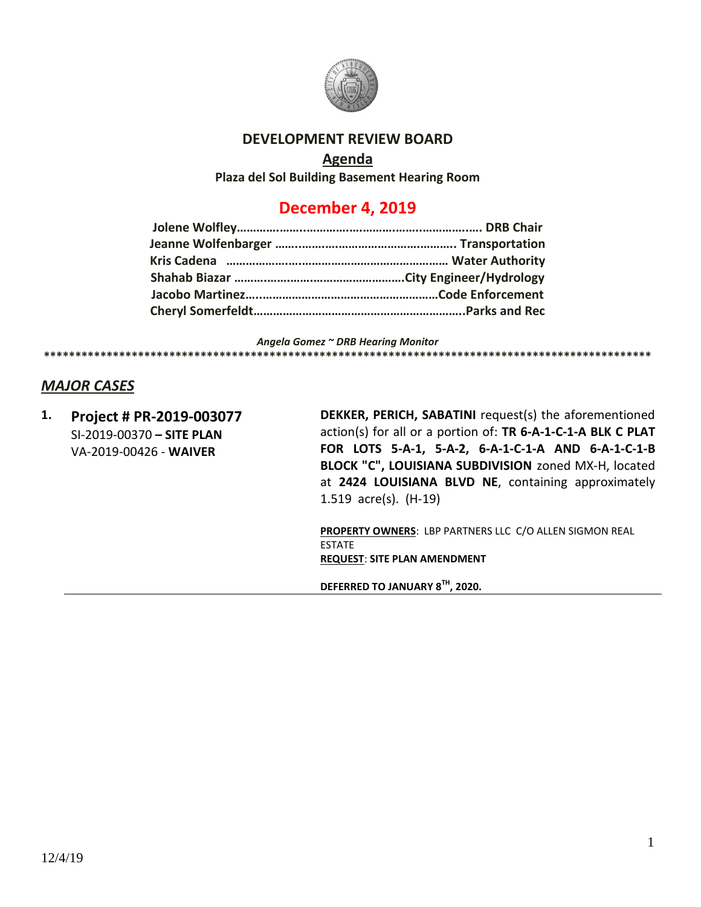

#### **DEVELOPMENT REVIEW BOARD**

#### **Agenda**

**Plaza del Sol Building Basement Hearing Room**

# **December 4, 2019**

*Angela Gomez ~ DRB Hearing Monitor* **\*\*\*\*\*\*\*\*\*\*\*\*\*\*\*\*\*\*\*\*\*\*\*\*\*\*\*\*\*\*\*\*\*\*\*\*\*\*\*\*\*\*\*\*\*\*\*\*\*\*\*\*\*\*\*\*\*\*\*\*\*\*\*\*\*\*\*\*\*\*\*\*\*\*\*\*\*\*\*\*\*\*\*\*\*\*\*\*\*\*\*\*\*\*\*\*\***

# *MAJOR CASES*

**1. Project # PR-2019-003077** SI-2019-00370 **– SITE PLAN** VA-2019-00426 - **WAIVER**

**DEKKER, PERICH, SABATINI** request(s) the aforementioned action(s) for all or a portion of: **TR 6-A-1-C-1-A BLK C PLAT FOR LOTS 5-A-1, 5-A-2, 6-A-1-C-1-A AND 6-A-1-C-1-B BLOCK "C", LOUISIANA SUBDIVISION** zoned MX-H, located at **2424 LOUISIANA BLVD NE**, containing approximately 1.519 acre(s). (H-19)

**PROPERTY OWNERS**: LBP PARTNERS LLC C/O ALLEN SIGMON REAL ESTATE **REQUEST**: **SITE PLAN AMENDMENT**

**DEFERRED TO JANUARY 8TH , 2020.**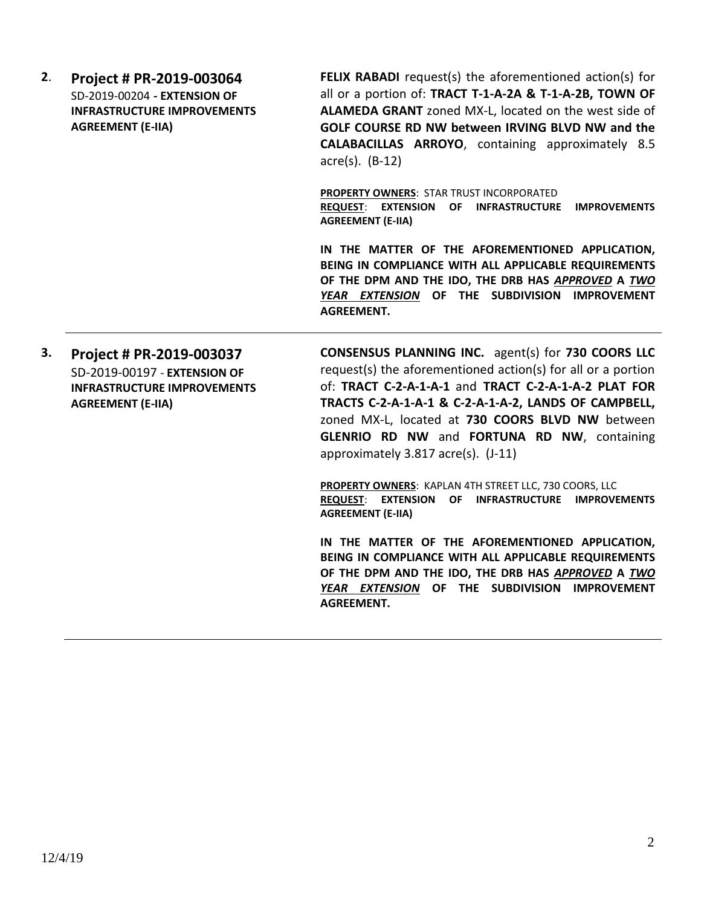| 2. | Project # PR-2019-003064<br>SD-2019-00204 - EXTENSION OF<br><b>INFRASTRUCTURE IMPROVEMENTS</b><br><b>AGREEMENT (E-IIA)</b> | <b>FELIX RABADI</b> request(s) the aforementioned action(s) for<br>all or a portion of: TRACT T-1-A-2A & T-1-A-2B, TOWN OF<br>ALAMEDA GRANT zoned MX-L, located on the west side of<br>GOLF COURSE RD NW between IRVING BLVD NW and the<br><b>CALABACILLAS ARROYO, containing approximately 8.5</b><br>$\arccos(5)$ . (B-12)                                                        |
|----|----------------------------------------------------------------------------------------------------------------------------|-------------------------------------------------------------------------------------------------------------------------------------------------------------------------------------------------------------------------------------------------------------------------------------------------------------------------------------------------------------------------------------|
|    |                                                                                                                            | <b>PROPERTY OWNERS: STAR TRUST INCORPORATED</b><br>REQUEST: EXTENSION OF INFRASTRUCTURE<br><b>IMPROVEMENTS</b><br><b>AGREEMENT (E-IIA)</b>                                                                                                                                                                                                                                          |
|    |                                                                                                                            | IN THE MATTER OF THE AFOREMENTIONED APPLICATION,<br>BEING IN COMPLIANCE WITH ALL APPLICABLE REQUIREMENTS<br>OF THE DPM AND THE IDO, THE DRB HAS APPROVED A TWO<br>YEAR EXTENSION OF THE SUBDIVISION IMPROVEMENT<br><b>AGREEMENT.</b>                                                                                                                                                |
| 3. | Project # PR-2019-003037<br>SD-2019-00197 - EXTENSION OF<br><b>INFRASTRUCTURE IMPROVEMENTS</b><br><b>AGREEMENT (E-IIA)</b> | <b>CONSENSUS PLANNING INC.</b> agent(s) for 730 COORS LLC<br>request(s) the aforementioned action(s) for all or a portion<br>of: TRACT C-2-A-1-A-1 and TRACT C-2-A-1-A-2 PLAT FOR<br>TRACTS C-2-A-1-A-1 & C-2-A-1-A-2, LANDS OF CAMPBELL,<br>zoned MX-L, located at 730 COORS BLVD NW between<br>GLENRIO RD NW and FORTUNA RD NW, containing<br>approximately 3.817 acre(s). (J-11) |
|    |                                                                                                                            | PROPERTY OWNERS: KAPLAN 4TH STREET LLC, 730 COORS, LLC<br>REQUEST: EXTENSION OF INFRASTRUCTURE IMPROVEMENTS<br><b>AGREEMENT (E-IIA)</b>                                                                                                                                                                                                                                             |
|    |                                                                                                                            | IN THE MATTER OF THE AFOREMENTIONED APPLICATION,<br>BEING IN COMPLIANCE WITH ALL APPLICABLE REQUIREMENTS<br>OF THE DPM AND THE IDO, THE DRB HAS APPROVED A TWO<br>YEAR EXTENSION OF THE SUBDIVISION IMPROVEMENT<br><b>AGREEMENT.</b>                                                                                                                                                |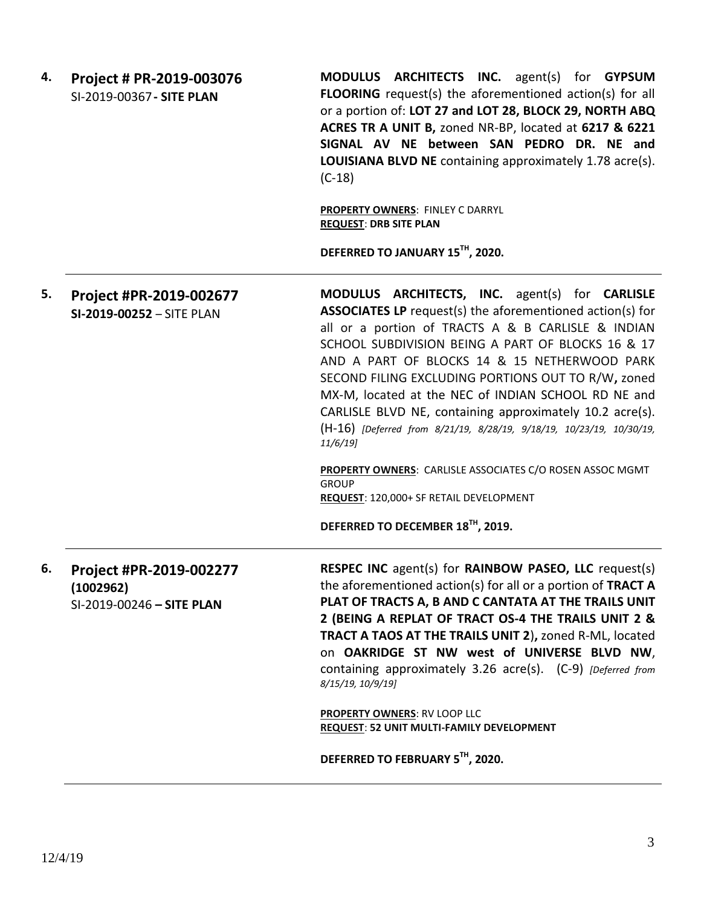| 4. | Project # PR-2019-003076<br>SI-2019-00367 - SITE PLAN             | MODULUS ARCHITECTS INC. agent(s) for GYPSUM<br><b>FLOORING</b> request(s) the aforementioned action(s) for all<br>or a portion of: LOT 27 and LOT 28, BLOCK 29, NORTH ABQ<br>ACRES TR A UNIT B, zoned NR-BP, located at 6217 & 6221<br>SIGNAL AV NE between SAN PEDRO DR. NE and<br><b>LOUISIANA BLVD NE</b> containing approximately 1.78 acre(s).<br>$(C-18)$<br><b>PROPERTY OWNERS: FINLEY C DARRYL</b><br><b>REQUEST: DRB SITE PLAN</b>                                                                                                                                                                                                                                                               |  |  |  |
|----|-------------------------------------------------------------------|-----------------------------------------------------------------------------------------------------------------------------------------------------------------------------------------------------------------------------------------------------------------------------------------------------------------------------------------------------------------------------------------------------------------------------------------------------------------------------------------------------------------------------------------------------------------------------------------------------------------------------------------------------------------------------------------------------------|--|--|--|
|    |                                                                   | DEFERRED TO JANUARY 15TH, 2020.                                                                                                                                                                                                                                                                                                                                                                                                                                                                                                                                                                                                                                                                           |  |  |  |
| 5. | Project #PR-2019-002677<br>SI-2019-00252 - SITE PLAN              | MODULUS ARCHITECTS, INC. agent(s) for CARLISLE<br><b>ASSOCIATES LP</b> request(s) the aforementioned action(s) for<br>all or a portion of TRACTS A & B CARLISLE & INDIAN<br>SCHOOL SUBDIVISION BEING A PART OF BLOCKS 16 & 17<br>AND A PART OF BLOCKS 14 & 15 NETHERWOOD PARK<br>SECOND FILING EXCLUDING PORTIONS OUT TO R/W, zoned<br>MX-M, located at the NEC of INDIAN SCHOOL RD NE and<br>CARLISLE BLVD NE, containing approximately 10.2 acre(s).<br>(H-16) [Deferred from 8/21/19, 8/28/19, 9/18/19, 10/23/19, 10/30/19,<br>$11/6/19$ ]<br>PROPERTY OWNERS: CARLISLE ASSOCIATES C/O ROSEN ASSOC MGMT<br><b>GROUP</b><br>REQUEST: 120,000+ SF RETAIL DEVELOPMENT<br>DEFERRED TO DECEMBER 18TH, 2019. |  |  |  |
| 6. | Project #PR-2019-002277<br>(1002962)<br>SI-2019-00246 - SITE PLAN | RESPEC INC agent(s) for RAINBOW PASEO, LLC request(s)<br>the aforementioned action(s) for all or a portion of TRACT A<br>PLAT OF TRACTS A, B AND C CANTATA AT THE TRAILS UNIT<br>2 (BEING A REPLAT OF TRACT OS-4 THE TRAILS UNIT 2 &<br>TRACT A TAOS AT THE TRAILS UNIT 2), zoned R-ML, located<br>on OAKRIDGE ST NW west of UNIVERSE BLVD NW,<br>containing approximately 3.26 acre(s). (C-9) [Deferred from<br>8/15/19, 10/9/19]                                                                                                                                                                                                                                                                        |  |  |  |
|    |                                                                   | <b>PROPERTY OWNERS: RV LOOP LLC</b><br><b>REQUEST: 52 UNIT MULTI-FAMILY DEVELOPMENT</b>                                                                                                                                                                                                                                                                                                                                                                                                                                                                                                                                                                                                                   |  |  |  |
|    |                                                                   | DEFERRED TO FEBRUARY 5TH, 2020.                                                                                                                                                                                                                                                                                                                                                                                                                                                                                                                                                                                                                                                                           |  |  |  |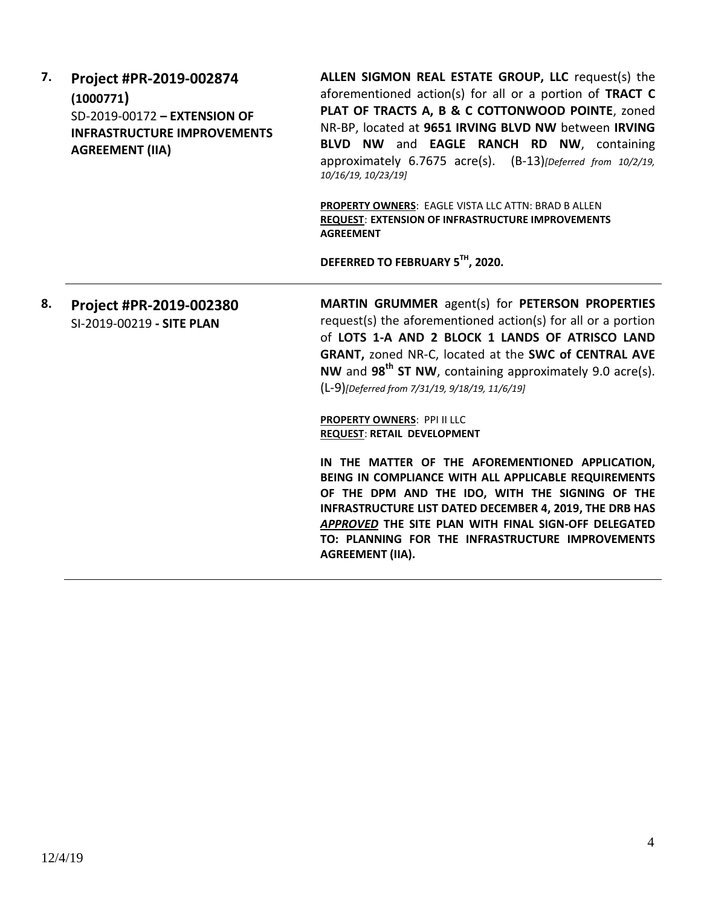**7. Project #PR-2019-002874 (1000771)** SD-2019-00172 **– EXTENSION OF INFRASTRUCTURE IMPROVEMENTS AGREEMENT (IIA)**

**ALLEN SIGMON REAL ESTATE GROUP, LLC** request(s) the aforementioned action(s) for all or a portion of **TRACT C PLAT OF TRACTS A, B & C COTTONWOOD POINTE**, zoned NR-BP, located at **9651 IRVING BLVD NW** between **IRVING BLVD NW** and **EAGLE RANCH RD NW**, containing approximately 6.7675 acre(s). (B-13)*[Deferred from 10/2/19, 10/16/19, 10/23/19]*

**PROPERTY OWNERS**: EAGLE VISTA LLC ATTN: BRAD B ALLEN **REQUEST**: **EXTENSION OF INFRASTRUCTURE IMPROVEMENTS AGREEMENT**

**DEFERRED TO FEBRUARY 5TH, 2020.**

**8. Project #PR-2019-002380** SI-2019-00219 **- SITE PLAN**

**MARTIN GRUMMER** agent(s) for **PETERSON PROPERTIES** request(s) the aforementioned action(s) for all or a portion of **LOTS 1-A AND 2 BLOCK 1 LANDS OF ATRISCO LAND GRANT,** zoned NR-C, located at the **SWC of CENTRAL AVE NW** and **98th ST NW**, containing approximately 9.0 acre(s). (L-9)*[Deferred from 7/31/19, 9/18/19, 11/6/19]*

**PROPERTY OWNERS**: PPI II LLC **REQUEST**: **RETAIL DEVELOPMENT**

**IN THE MATTER OF THE AFOREMENTIONED APPLICATION, BEING IN COMPLIANCE WITH ALL APPLICABLE REQUIREMENTS OF THE DPM AND THE IDO, WITH THE SIGNING OF THE INFRASTRUCTURE LIST DATED DECEMBER 4, 2019, THE DRB HAS**  *APPROVED* **THE SITE PLAN WITH FINAL SIGN-OFF DELEGATED TO: PLANNING FOR THE INFRASTRUCTURE IMPROVEMENTS AGREEMENT (IIA).**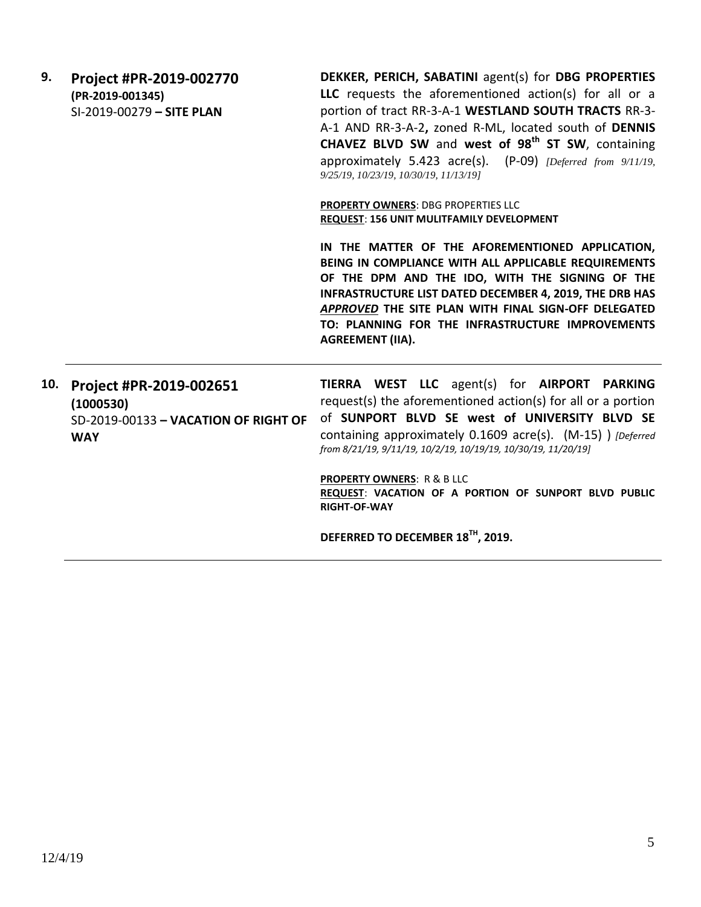**9. Project #PR-2019-002770 (PR-2019-001345)** SI-2019-00279 **– SITE PLAN DEKKER, PERICH, SABATINI** agent(s) for **DBG PROPERTIES LLC** requests the aforementioned action(s) for all or a portion of tract RR-3-A-1 **WESTLAND SOUTH TRACTS** RR-3- A-1 AND RR-3-A-2**,** zoned R-ML, located south of **DENNIS CHAVEZ BLVD SW** and **west of 98th ST SW**, containing approximately 5.423 acre(s). (P-09) *[Deferred from 9/11/19, 9/25/19, 10/23/19, 10/30/19, 11/13/19]* **PROPERTY OWNERS**: DBG PROPERTIES LLC **REQUEST**: **156 UNIT MULITFAMILY DEVELOPMENT IN THE MATTER OF THE AFOREMENTIONED APPLICATION, BEING IN COMPLIANCE WITH ALL APPLICABLE REQUIREMENTS OF THE DPM AND THE IDO, WITH THE SIGNING OF THE INFRASTRUCTURE LIST DATED DECEMBER 4, 2019, THE DRB HAS**  *APPROVED* **THE SITE PLAN WITH FINAL SIGN-OFF DELEGATED TO: PLANNING FOR THE INFRASTRUCTURE IMPROVEMENTS AGREEMENT (IIA). 10. Project #PR-2019-002651 (1000530)** SD-2019-00133 **– VACATION OF RIGHT OF WAY TIERRA WEST LLC** agent(s) for **AIRPORT PARKING** request(s) the aforementioned action(s) for all or a portion of **SUNPORT BLVD SE west of UNIVERSITY BLVD SE** containing approximately 0.1609 acre(s). (M-15) ) *[Deferred from 8/21/19, 9/11/19, 10/2/19, 10/19/19, 10/30/19, 11/20/19]* **PROPERTY OWNERS**: R & B LLC **REQUEST**: **VACATION OF A PORTION OF SUNPORT BLVD PUBLIC RIGHT-OF-WAY DEFERRED TO DECEMBER 18TH, 2019.**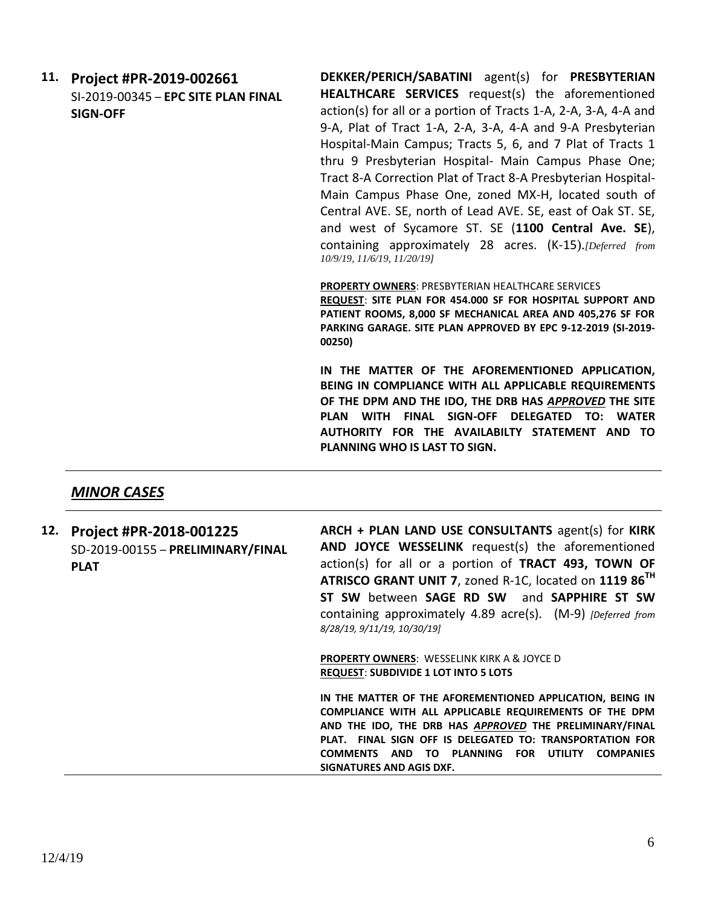**11. Project #PR-2019-002661** SI-2019-00345 – **EPC SITE PLAN FINAL SIGN-OFF**

**DEKKER/PERICH/SABATINI** agent(s) for **PRESBYTERIAN HEALTHCARE SERVICES** request(s) the aforementioned action(s) for all or a portion of Tracts 1-A, 2-A, 3-A, 4-A and 9-A, Plat of Tract 1-A, 2-A, 3-A, 4-A and 9-A Presbyterian Hospital-Main Campus; Tracts 5, 6, and 7 Plat of Tracts 1 thru 9 Presbyterian Hospital- Main Campus Phase One; Tract 8-A Correction Plat of Tract 8-A Presbyterian Hospital-Main Campus Phase One, zoned MX-H, located south of Central AVE. SE, north of Lead AVE. SE, east of Oak ST. SE, and west of Sycamore ST. SE (**1100 Central Ave. SE**), containing approximately 28 acres. (K-15).*[Deferred from 10/9/19, 11/6/19, 11/20/19]* 

**PROPERTY OWNERS**: PRESBYTERIAN HEALTHCARE SERVICES

**REQUEST**: **SITE PLAN FOR 454.000 SF FOR HOSPITAL SUPPORT AND PATIENT ROOMS, 8,000 SF MECHANICAL AREA AND 405,276 SF FOR PARKING GARAGE. SITE PLAN APPROVED BY EPC 9-12-2019 (SI-2019- 00250)**

**IN THE MATTER OF THE AFOREMENTIONED APPLICATION, BEING IN COMPLIANCE WITH ALL APPLICABLE REQUIREMENTS OF THE DPM AND THE IDO, THE DRB HAS** *APPROVED* **THE SITE PLAN WITH FINAL SIGN-OFF DELEGATED TO: WATER AUTHORITY FOR THE AVAILABILTY STATEMENT AND TO PLANNING WHO IS LAST TO SIGN.**

## *MINOR CASES*

**12. Project #PR-2018-001225** SD-2019-00155 – **PRELIMINARY/FINAL PLAT**

**ARCH + PLAN LAND USE CONSULTANTS** agent(s) for **KIRK AND JOYCE WESSELINK** request(s) the aforementioned action(s) for all or a portion of **TRACT 493, TOWN OF ATRISCO GRANT UNIT 7**, zoned R-1C, located on **1119 86TH ST SW** between **SAGE RD SW** and **SAPPHIRE ST SW** containing approximately 4.89 acre(s). (M-9) *[Deferred from 8/28/19, 9/11/19, 10/30/19]*

**PROPERTY OWNERS**: WESSELINK KIRK A & JOYCE D **REQUEST**: **SUBDIVIDE 1 LOT INTO 5 LOTS**

**IN THE MATTER OF THE AFOREMENTIONED APPLICATION, BEING IN COMPLIANCE WITH ALL APPLICABLE REQUIREMENTS OF THE DPM AND THE IDO, THE DRB HAS** *APPROVED* **THE PRELIMINARY/FINAL PLAT. FINAL SIGN OFF IS DELEGATED TO: TRANSPORTATION FOR COMMENTS AND TO PLANNING FOR UTILITY COMPANIES SIGNATURES AND AGIS DXF.**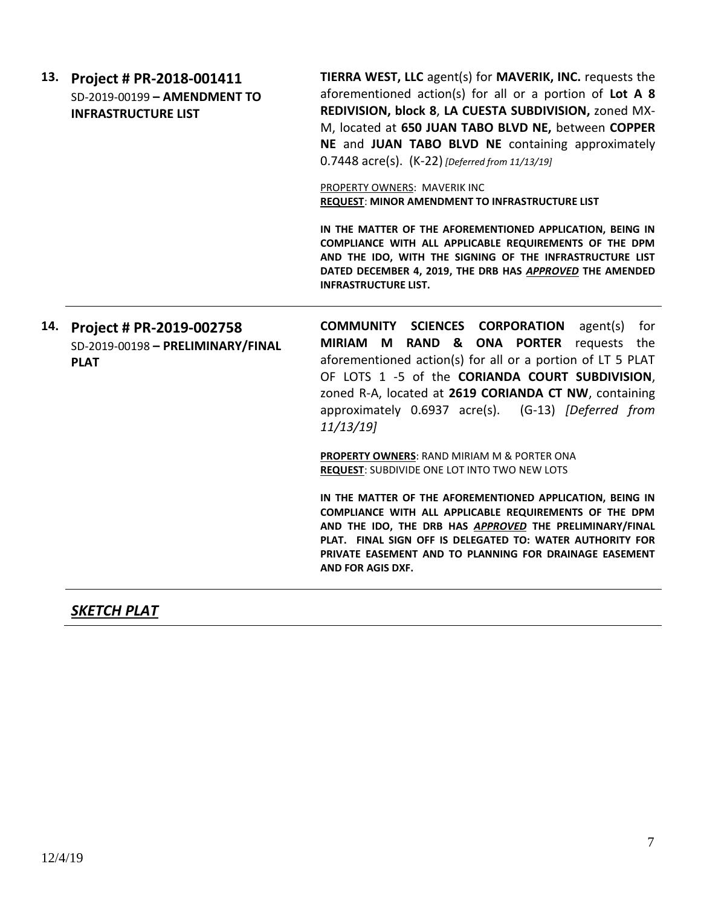| 13. Project # PR-2018-001411   |
|--------------------------------|
| $SD-2019-00199 - AMENDMENT TO$ |
| <b>INFRASTRUCTURE LIST</b>     |

**TIERRA WEST, LLC** agent(s) for **MAVERIK, INC.** requests the aforementioned action(s) for all or a portion of **Lot A 8 REDIVISION, block 8**, **LA CUESTA SUBDIVISION,** zoned MX-M, located at **650 JUAN TABO BLVD NE,** between **COPPER NE** and **JUAN TABO BLVD NE** containing approximately 0.7448 acre(s). (K-22) *[Deferred from 11/13/19]*

PROPERTY OWNERS: MAVERIK INC **REQUEST**: **MINOR AMENDMENT TO INFRASTRUCTURE LIST**

**IN THE MATTER OF THE AFOREMENTIONED APPLICATION, BEING IN COMPLIANCE WITH ALL APPLICABLE REQUIREMENTS OF THE DPM AND THE IDO, WITH THE SIGNING OF THE INFRASTRUCTURE LIST DATED DECEMBER 4, 2019, THE DRB HAS** *APPROVED* **THE AMENDED INFRASTRUCTURE LIST.**

### **14. Project # PR-2019-002758** SD-2019-00198 **– PRELIMINARY/FINAL PLAT**

**COMMUNITY SCIENCES CORPORATION** agent(s) for **MIRIAM M RAND & ONA PORTER** requests the aforementioned action(s) for all or a portion of LT 5 PLAT OF LOTS 1 -5 of the **CORIANDA COURT SUBDIVISION**, zoned R-A, located at **2619 CORIANDA CT NW**, containing approximately 0.6937 acre(s). (G-13) *[Deferred from 11/13/19]*

**PROPERTY OWNERS**: RAND MIRIAM M & PORTER ONA **REQUEST**: SUBDIVIDE ONE LOT INTO TWO NEW LOTS

**IN THE MATTER OF THE AFOREMENTIONED APPLICATION, BEING IN COMPLIANCE WITH ALL APPLICABLE REQUIREMENTS OF THE DPM AND THE IDO, THE DRB HAS** *APPROVED* **THE PRELIMINARY/FINAL PLAT. FINAL SIGN OFF IS DELEGATED TO: WATER AUTHORITY FOR PRIVATE EASEMENT AND TO PLANNING FOR DRAINAGE EASEMENT AND FOR AGIS DXF.**

# *SKETCH PLAT*